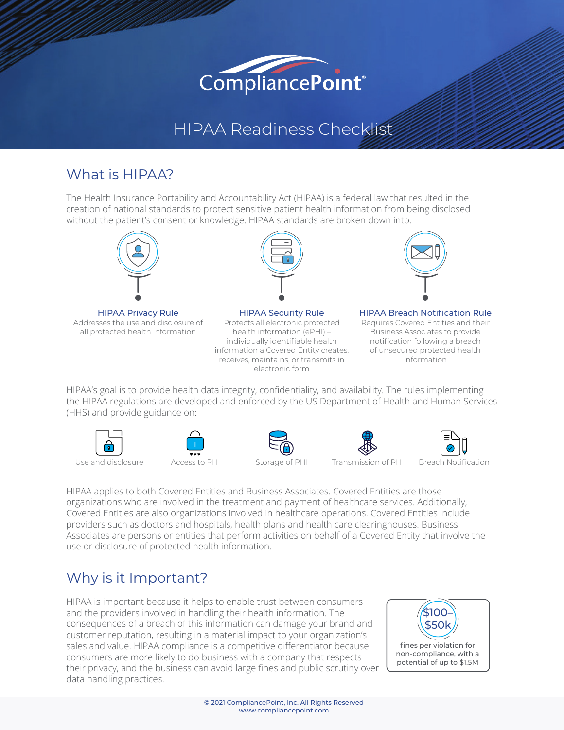# CompliancePoint<sup>®</sup>

## HIPAA Readiness Checklist

#### What is HIPAA?

The Health Insurance Portability and Accountability Act (HIPAA) is a federal law that resulted in the creation of national standards to protect sensitive patient health information from being disclosed without the patient's consent or knowledge. HIPAA standards are broken down into:



HIPAA Privacy Rule Addresses the use and disclosure of all protected health information



HIPAA Security Rule Protects all electronic protected health information (ePHI) – individually identifiable health information a Covered Entity creates, receives, maintains, or transmits in electronic form



#### HIPAA Breach Notification Rule Requires Covered Entities and their Business Associates to provide notification following a breach of unsecured protected health information

HIPAA's goal is to provide health data integrity, confidentiality, and availability. The rules implementing the HIPAA regulations are developed and enforced by the US Department of Health and Human Services (HHS) and provide guidance on:











Use and disclosure Access to PHI Storage of PHI Transmission of PHI Breach Notification

HIPAA applies to both Covered Entities and Business Associates. Covered Entities are those organizations who are involved in the treatment and payment of healthcare services. Additionally, Covered Entities are also organizations involved in healthcare operations. Covered Entities include providers such as doctors and hospitals, health plans and health care clearinghouses. Business Associates are persons or entities that perform activities on behalf of a Covered Entity that involve the use or disclosure of protected health information.

### Why is it Important?

HIPAA is important because it helps to enable trust between consumers and the providers involved in handling their health information. The consequences of a breach of this information can damage your brand and customer reputation, resulting in a material impact to your organization's sales and value. HIPAA compliance is a competitive differentiator because consumers are more likely to do business with a company that respects their privacy, and the business can avoid large fines and public scrutiny over data handling practices.

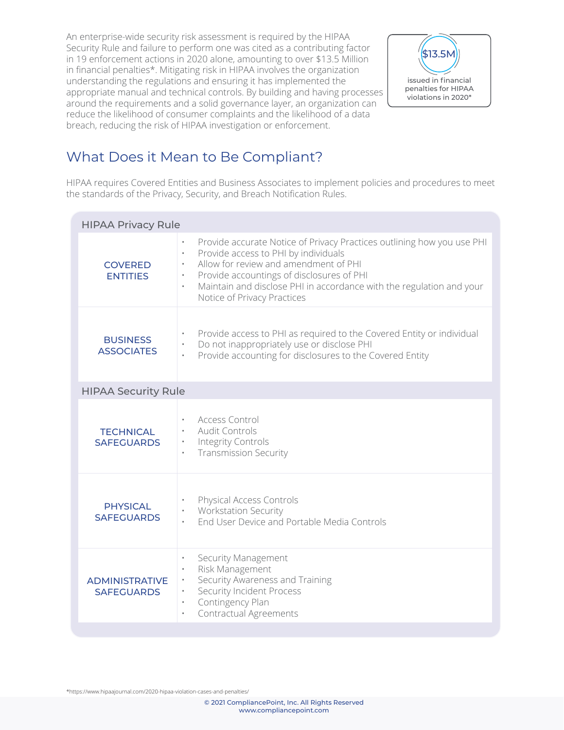An enterprise-wide security risk assessment is required by the HIPAA Security Rule and failure to perform one was cited as a contributing factor in 19 enforcement actions in 2020 alone, amounting to over \$13.5 Million in financial penalties\*. Mitigating risk in HIPAA involves the organization understanding the regulations and ensuring it has implemented the appropriate manual and technical controls. By building and having processes around the requirements and a solid governance layer, an organization can reduce the likelihood of consumer complaints and the likelihood of a data breach, reducing the risk of HIPAA investigation or enforcement.



#### What Does it Mean to Be Compliant?

HIPAA requires Covered Entities and Business Associates to implement policies and procedures to meet the standards of the Privacy, Security, and Breach Notification Rules.

| <b>HIPAA Privacy Rule</b>                  |                                                                                                                                                                                                                                                                                                                                                                 |  |
|--------------------------------------------|-----------------------------------------------------------------------------------------------------------------------------------------------------------------------------------------------------------------------------------------------------------------------------------------------------------------------------------------------------------------|--|
| <b>COVERED</b><br><b>ENTITIES</b>          | Provide accurate Notice of Privacy Practices outlining how you use PHI<br>$\bullet$<br>Provide access to PHI by individuals<br>Allow for review and amendment of PHI<br>$\bullet$<br>Provide accountings of disclosures of PHI<br>$\bullet$<br>Maintain and disclose PHI in accordance with the regulation and your<br>$\bullet$<br>Notice of Privacy Practices |  |
| <b>BUSINESS</b><br><b>ASSOCIATES</b>       | Provide access to PHI as required to the Covered Entity or individual<br>Do not inappropriately use or disclose PHI<br>Provide accounting for disclosures to the Covered Entity                                                                                                                                                                                 |  |
| <b>HIPAA Security Rule</b>                 |                                                                                                                                                                                                                                                                                                                                                                 |  |
| <b>TECHNICAL</b><br><b>SAFEGUARDS</b>      | Access Control<br><b>Audit Controls</b><br>$\bullet$<br>Integrity Controls<br>$\bullet$<br><b>Transmission Security</b><br>$\bullet$                                                                                                                                                                                                                            |  |
| <b>PHYSICAL</b><br><b>SAFEGUARDS</b>       | Physical Access Controls<br><b>Workstation Security</b><br>End User Device and Portable Media Controls                                                                                                                                                                                                                                                          |  |
| <b>ADMINISTRATIVE</b><br><b>SAFEGUARDS</b> | Security Management<br>$\bullet$<br>Risk Management<br>$\bullet$<br>Security Awareness and Training<br>$\bullet$<br>Security Incident Process<br>$\bullet$<br>Contingency Plan<br>$\bullet$<br>Contractual Agreements<br>$\bullet$                                                                                                                              |  |

\*https://www.hipaajournal.com/2020-hipaa-violation-cases-and-penalties/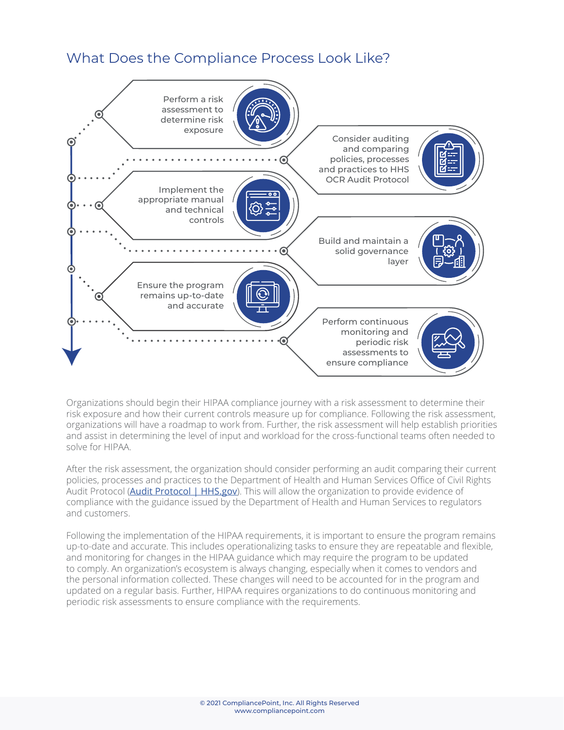#### What Does the Compliance Process Look Like?



Organizations should begin their HIPAA compliance journey with a risk assessment to determine their risk exposure and how their current controls measure up for compliance. Following the risk assessment, organizations will have a roadmap to work from. Further, the risk assessment will help establish priorities and assist in determining the level of input and workload for the cross-functional teams often needed to solve for HIPAA.

After the risk assessment, the organization should consider performing an audit comparing their current policies, processes and practices to the Department of Health and Human Services Office of Civil Rights Audit Protocol ([Audit Protocol | HHS.gov](https://www.hhs.gov/hipaa/for-professionals/compliance-enforcement/audit/protocol/index.html)). This will allow the organization to provide evidence of compliance with the guidance issued by the Department of Health and Human Services to regulators and customers.

Following the implementation of the HIPAA requirements, it is important to ensure the program remains up-to-date and accurate. This includes operationalizing tasks to ensure they are repeatable and flexible, and monitoring for changes in the HIPAA guidance which may require the program to be updated to comply. An organization's ecosystem is always changing, especially when it comes to vendors and the personal information collected. These changes will need to be accounted for in the program and updated on a regular basis. Further, HIPAA requires organizations to do continuous monitoring and periodic risk assessments to ensure compliance with the requirements.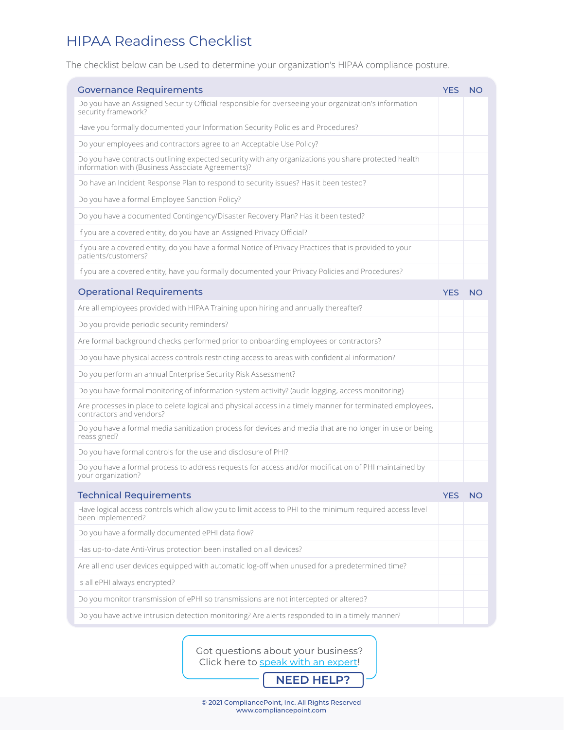#### HIPAA Readiness Checklist

The checklist below can be used to determine your organization's HIPAA compliance posture.

| <b>Governance Requirements</b>                                                                                                                           |  |           |
|----------------------------------------------------------------------------------------------------------------------------------------------------------|--|-----------|
| Do you have an Assigned Security Official responsible for overseeing your organization's information<br>security framework?                              |  |           |
| Have you formally documented your Information Security Policies and Procedures?                                                                          |  |           |
| Do your employees and contractors agree to an Acceptable Use Policy?                                                                                     |  |           |
| Do you have contracts outlining expected security with any organizations you share protected health<br>information with (Business Associate Agreements)? |  |           |
| Do have an Incident Response Plan to respond to security issues? Has it been tested?                                                                     |  |           |
| Do you have a formal Employee Sanction Policy?                                                                                                           |  |           |
| Do you have a documented Contingency/Disaster Recovery Plan? Has it been tested?                                                                         |  |           |
| If you are a covered entity, do you have an Assigned Privacy Official?                                                                                   |  |           |
| If you are a covered entity, do you have a formal Notice of Privacy Practices that is provided to your<br>patients/customers?                            |  |           |
| If you are a covered entity, have you formally documented your Privacy Policies and Procedures?                                                          |  |           |
| <b>Operational Requirements</b>                                                                                                                          |  | <b>NO</b> |
| Are all employees provided with HIPAA Training upon hiring and annually thereafter?                                                                      |  |           |
| Do you provide periodic security reminders?                                                                                                              |  |           |
| Are formal background checks performed prior to onboarding employees or contractors?                                                                     |  |           |
| Do you have physical access controls restricting access to areas with confidential information?                                                          |  |           |
| Do you perform an annual Enterprise Security Risk Assessment?                                                                                            |  |           |
| Do you have formal monitoring of information system activity? (audit logging, access monitoring)                                                         |  |           |
| Are processes in place to delete logical and physical access in a timely manner for terminated employees,<br>contractors and vendors?                    |  |           |
| Do you have a formal media sanitization process for devices and media that are no longer in use or being<br>reassigned?                                  |  |           |
| Do you have formal controls for the use and disclosure of PHI?                                                                                           |  |           |
| Do you have a formal process to address requests for access and/or modification of PHI maintained by<br>your organization?                               |  |           |
| <b>Technical Requirements</b>                                                                                                                            |  | <b>NO</b> |
| Have logical access controls which allow you to limit access to PHI to the minimum required access level<br>been implemented?                            |  |           |
| Do you have a formally documented ePHI data flow?                                                                                                        |  |           |
| Has up-to-date Anti-Virus protection been installed on all devices?                                                                                      |  |           |
| Are all end user devices equipped with automatic log-off when unused for a predetermined time?                                                           |  |           |
| Is all ePHI always encrypted?                                                                                                                            |  |           |
| Do you monitor transmission of ePHI so transmissions are not intercepted or altered?                                                                     |  |           |
| Do you have active intrusion detection monitoring? Are alerts responded to in a timely manner?                                                           |  |           |

[Got questions about your business?](https://www.compliancepoint.com/free-consultation/)  Click here to speak with an expert!

**NEED HELP?**